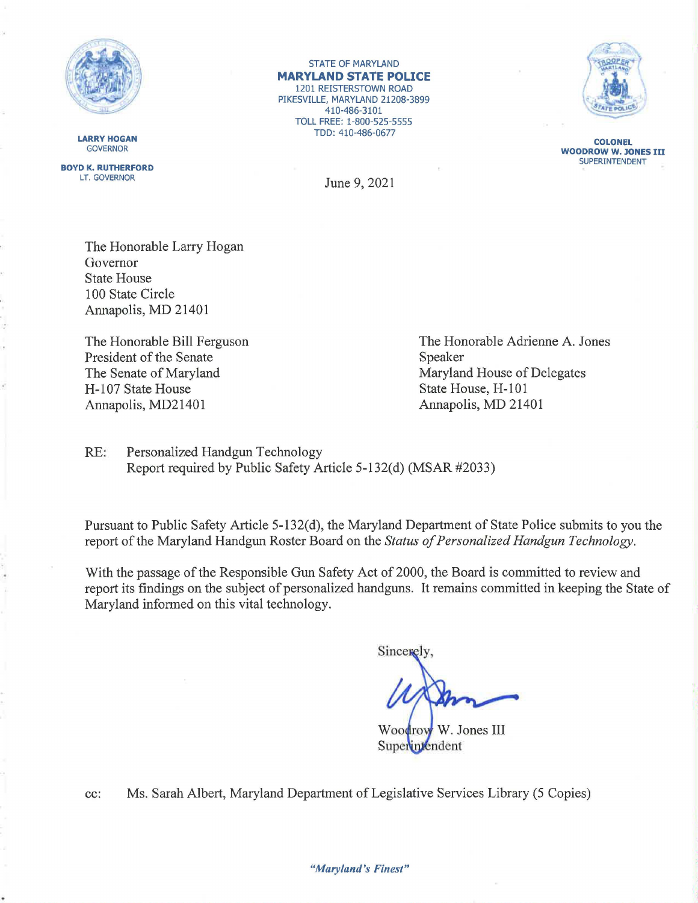

**LARRY HOGAN GOVERNOR** 

**BOYD K. RUTHERFORD**  LT. GOVERNOR

STATE OF MARYLAND **MARYLAND STATE POLICE**  1201 REISTERSTOWN ROAD PIKESVILLE, MARYLAND 21208-3899 410-486-3101 TOLL FREE: 1-800-525-5555 TDD: 410-486-0677



**COLONEL WOODROW W. JONES** III SUPERINTENDENT

June 9, 2021

The Honorable Larry Hogan Governor State House 100 State Circle Annapolis, MD 21401

The Honorable Bill Ferguson President of the Senate The Senate of Maryland H-107 State House Annapolis, MD21401

The Honorable Adrienne A. Jones Speaker Maryland House of Delegates State House, H-101 Annapolis, MD 21401

RE: Personalized Handgun Technology Report required by Public Safety Article 5-132(d) (MSAR #2033)

Pursuant to Public Safety Article 5-132(d), the Maryland Department of State Police submits to you the report of the Maryland Handgun Roster Board on the *Status of Personalized Handgun Technology.* 

With the passage of the Responsible Gun Safety Act of 2000, the Board is committed to review and report its findings on the subject of personalized handguns. It remains committed in keeping the State of Maryland informed on this vital technology.

Sincercly

Woodrow W. Jones III Superintendent

cc: Ms. Sarah Albert, Maryland Department of Legislative Services Library (5 Copies)